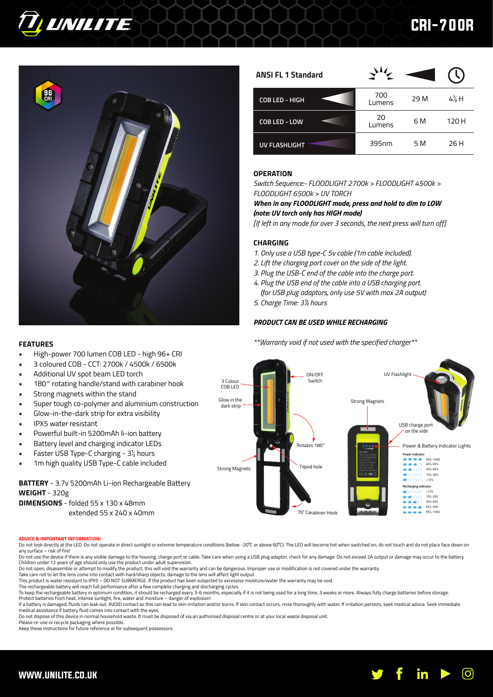

# CRI-700R



| <b>ANSI FL 1 Standard</b> |               |      |                  |
|---------------------------|---------------|------|------------------|
| COB LED - HIGH            | 700<br>Lumens | 29 M | $4\frac{1}{2}$ H |
| COB LED - LOW             | 20<br>Lumens  | 6 M  | 120 H            |
| <b>UV FLASHLIGHT</b>      | 395nm         | 5 M  | 26 H             |

# **OPERATION**

*Switch Sequence:- FLOODLIGHT 2700k > FLOODLIGHT 4500k > FLOODLIGHT 6500k > UV TORCH*

*When in any FLOODLIGHT mode, press and hold to dim to LOW (note: UV torch only has HIGH mode)*

*[If left in any mode for over 3 seconds, the next press will turn off]*

# **CHARGING**

- *1. Only use a USB type-C 5v cable (1m cable included).*
- *2. Lift the charging port cover on the side of the light.*
- *3. Plug the USB-C end of the cable into the charge port.*
- *4. Plug the USB end of the cable into a USB charging port. (for USB plug adaptors, only use 5V with max 2A output)*
- *5. Charge Time: 3½ hours*

# *PRODUCT CAN BE USED WHILE RECHARGING*

*\*\*Warranty void if not used with the specified charger\*\**

## **FEATURES**

- High-power 700 lumen COB LED high 96+ CRI
- 3 coloured COB CCT: 2700k / 4500k / 6500k
- Additional UV spot beam LED torch
- 180° rotating handle/stand with carabiner hook
- Strong magnets within the stand
- Super tough co-polymer and aluminium construction
- Glow-in-the-dark strip for extra visibility
- IPX5 water resistant
- Powerful built-in 5200mAh li-ion battery
- Battery level and charging indicator LEDs
- Faster USB Type-C charging 3½ hours
- 1m high quality USB Type-C cable included

**BATTERY** - 3.7v 5200mAh Li-ion Rechargeable Battery **WEIGHT** - 320g **DIMENSIONS** - folded 55 x 130 x 48mm extended 55 x 240 x 40mm



### **ADVICE & IMPORTANT INFORMATION!**

Do not look directly at the LED. Do not operate in direct sunlight or extreme temperature conditions (below -20°C or above 60°C). The LED will become hot when switched on; do not touch and do not place face down on<br>any sur

Do not use the device if there is any visible damage to the housing, charge port or cable. Take care when using a USB plug adaptor, check for any damage. Do not exceed 2A output or damage may occur to the battery. Children under 12 years of age should only use the product under adult supervision.<br>Do not open, disassemble or attempt to modify the product; this will void the warranty and can be dangerous. Improper use or modification

Take care not to let the lens come into contact with hard/sharp objects, damage to the lens will affect light output.

This product is water resistant to IPX5 – DO NOT SUBMERGE. If the product has been subjected to excessive moisture/water the warranty may be void.

The rechargeable battery will reach full performance after a few complete charging and discharging cycles.

To keep the rechargeable battery in optimum condition, it should be recharged every 3-6 months, especially if it is not being used for a long time, 3 weeks or more. Always fully charge batteries before storage. Protect batteries from heat, intense sunlight, fire, water and moisture – danger of explosion!<br>If a battery is damaged, fluids can leak out. AVOID contact as this can lead to skin iritation and/or burns. If skin contact oc

medical assistance if battery fluid comes into contact with the eyes. Do not dispose of this device in normal household waste. It must be disposed of via an authorised disposal centre or at your local waste disposal unit.

Please re-use or recycle packaging where possible.

Keep these instructions for future reference or for subsequent possessors.